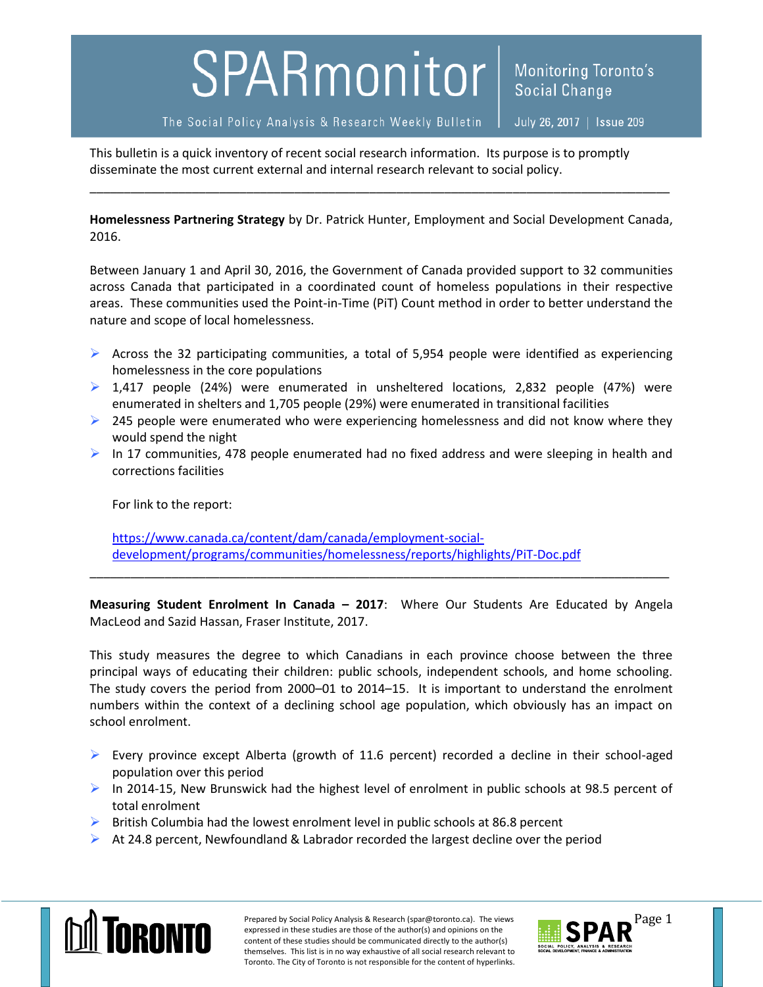## SPARmonitor

The Social Policy Analysis & Research Weekly Bulletin

July 26, 2017 | Issue 209

**Social Change** 

**Monitoring Toronto's** 

This bulletin is a quick inventory of recent social research information. Its purpose is to promptly disseminate the most current external and internal research relevant to social policy.

**Homelessness Partnering Strategy** by Dr. Patrick Hunter, Employment and Social Development Canada, 2016.

\_\_\_\_\_\_\_\_\_\_\_\_\_\_\_\_\_\_\_\_\_\_\_\_\_\_\_\_\_\_\_\_\_\_\_\_\_\_\_\_\_\_\_\_\_\_\_\_\_\_\_\_\_\_\_\_\_\_\_\_\_\_\_\_\_\_\_\_\_\_\_\_\_\_\_\_\_\_\_\_\_\_\_\_\_

Between January 1 and April 30, 2016, the Government of Canada provided support to 32 communities across Canada that participated in a coordinated count of homeless populations in their respective areas. These communities used the Point-in-Time (PiT) Count method in order to better understand the nature and scope of local homelessness.

- $\triangleright$  Across the 32 participating communities, a total of 5,954 people were identified as experiencing homelessness in the core populations
- $\triangleright$  1,417 people (24%) were enumerated in unsheltered locations, 2,832 people (47%) were enumerated in shelters and 1,705 people (29%) were enumerated in transitional facilities
- $\geq$  245 people were enumerated who were experiencing homelessness and did not know where they would spend the night
- $\triangleright$  In 17 communities, 478 people enumerated had no fixed address and were sleeping in health and corrections facilities

For link to the report:

[https://www.canada.ca/content/dam/canada/employment-social](https://www.canada.ca/content/dam/canada/employment-social-development/programs/communities/homelessness/reports/highlights/PiT-Doc.pdf)[development/programs/communities/homelessness/reports/highlights/PiT-Doc.pdf](https://www.canada.ca/content/dam/canada/employment-social-development/programs/communities/homelessness/reports/highlights/PiT-Doc.pdf)

**Measuring Student Enrolment In Canada – 2017**: Where Our Students Are Educated by Angela MacLeod and Sazid Hassan, Fraser Institute, 2017.

\_\_\_\_\_\_\_\_\_\_\_\_\_\_\_\_\_\_\_\_\_\_\_\_\_\_\_\_\_\_\_\_\_\_\_\_\_\_\_\_\_\_\_\_\_\_\_\_\_\_\_\_\_\_\_\_\_\_\_\_\_\_\_\_\_\_\_\_\_\_\_\_\_\_\_\_\_\_\_\_\_\_\_\_\_

This study measures the degree to which Canadians in each province choose between the three principal ways of educating their children: public schools, independent schools, and home schooling. The study covers the period from 2000–01 to 2014–15. It is important to understand the enrolment numbers within the context of a declining school age population, which obviously has an impact on school enrolment.

- Every province except Alberta (growth of 11.6 percent) recorded a decline in their school-aged population over this period
- $\triangleright$  In 2014-15, New Brunswick had the highest level of enrolment in public schools at 98.5 percent of total enrolment
- $\triangleright$  British Columbia had the lowest enrolment level in public schools at 86.8 percent
- $\triangleright$  At 24.8 percent, Newfoundland & Labrador recorded the largest decline over the period



Prepared by Social Policy Analysis & Research (spar@toronto.ca). The views Page 1 expressed in these studies are those of the author(s) and opinions on the content of these studies should be communicated directly to the author(s) themselves. This list is in no way exhaustive of all social research relevant to Toronto. The City of Toronto is not responsible for the content of hyperlinks.

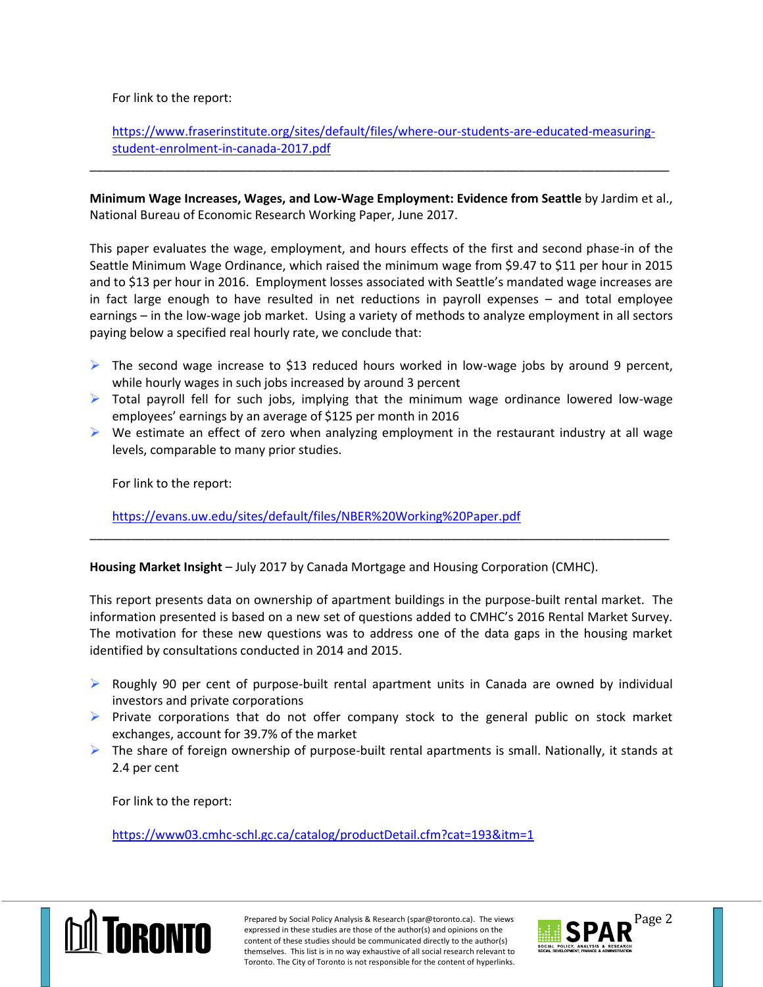For link to the report:

[https://www.fraserinstitute.org/sites/default/files/where-our-students-are-educated-measuring](https://www.fraserinstitute.org/sites/default/files/where-our-students-are-educated-measuring-student-enrolment-in-canada-2017.pdf)[student-enrolment-in-canada-2017.pdf](https://www.fraserinstitute.org/sites/default/files/where-our-students-are-educated-measuring-student-enrolment-in-canada-2017.pdf)

\_\_\_\_\_\_\_\_\_\_\_\_\_\_\_\_\_\_\_\_\_\_\_\_\_\_\_\_\_\_\_\_\_\_\_\_\_\_\_\_\_\_\_\_\_\_\_\_\_\_\_\_\_\_\_\_\_\_\_\_\_\_\_\_\_\_\_\_\_\_\_\_\_\_\_\_\_\_\_\_\_\_\_\_\_

**Minimum Wage Increases, Wages, and Low-Wage Employment: Evidence from Seattle** by Jardim et al., National Bureau of Economic Research Working Paper, June 2017.

This paper evaluates the wage, employment, and hours effects of the first and second phase-in of the Seattle Minimum Wage Ordinance, which raised the minimum wage from \$9.47 to \$11 per hour in 2015 and to \$13 per hour in 2016. Employment losses associated with Seattle's mandated wage increases are in fact large enough to have resulted in net reductions in payroll expenses – and total employee earnings – in the low-wage job market. Using a variety of methods to analyze employment in all sectors paying below a specified real hourly rate, we conclude that:

- $\triangleright$  The second wage increase to \$13 reduced hours worked in low-wage jobs by around 9 percent, while hourly wages in such jobs increased by around 3 percent
- $\triangleright$  Total payroll fell for such jobs, implying that the minimum wage ordinance lowered low-wage employees' earnings by an average of \$125 per month in 2016
- $\triangleright$  We estimate an effect of zero when analyzing employment in the restaurant industry at all wage levels, comparable to many prior studies.

\_\_\_\_\_\_\_\_\_\_\_\_\_\_\_\_\_\_\_\_\_\_\_\_\_\_\_\_\_\_\_\_\_\_\_\_\_\_\_\_\_\_\_\_\_\_\_\_\_\_\_\_\_\_\_\_\_\_\_\_\_\_\_\_\_\_\_\_\_\_\_\_\_\_\_\_\_\_\_\_\_\_\_\_\_

For link to the report:

<https://evans.uw.edu/sites/default/files/NBER%20Working%20Paper.pdf>

**Housing Market Insight** – July 2017 by Canada Mortgage and Housing Corporation (CMHC).

This report presents data on ownership of apartment buildings in the purpose-built rental market. The information presented is based on a new set of questions added to CMHC's 2016 Rental Market Survey. The motivation for these new questions was to address one of the data gaps in the housing market identified by consultations conducted in 2014 and 2015.

- $\triangleright$  Roughly 90 per cent of purpose-built rental apartment units in Canada are owned by individual investors and private corporations
- $\triangleright$  Private corporations that do not offer company stock to the general public on stock market exchanges, account for 39.7% of the market
- $\triangleright$  The share of foreign ownership of purpose-built rental apartments is small. Nationally, it stands at 2.4 per cent

For link to the report:

<https://www03.cmhc-schl.gc.ca/catalog/productDetail.cfm?cat=193&itm=1>